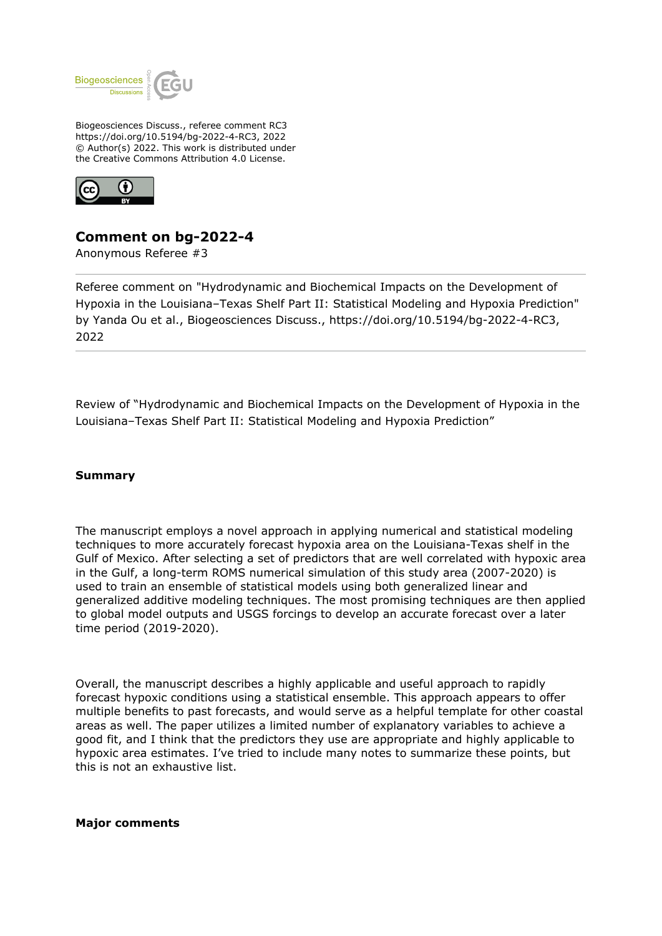

Biogeosciences Discuss., referee comment RC3 https://doi.org/10.5194/bg-2022-4-RC3, 2022 © Author(s) 2022. This work is distributed under the Creative Commons Attribution 4.0 License.



# **Comment on bg-2022-4**

Anonymous Referee #3

Referee comment on "Hydrodynamic and Biochemical Impacts on the Development of Hypoxia in the Louisiana–Texas Shelf Part II: Statistical Modeling and Hypoxia Prediction" by Yanda Ou et al., Biogeosciences Discuss., https://doi.org/10.5194/bg-2022-4-RC3, 2022

Review of "Hydrodynamic and Biochemical Impacts on the Development of Hypoxia in the Louisiana–Texas Shelf Part II: Statistical Modeling and Hypoxia Prediction"

## **Summary**

The manuscript employs a novel approach in applying numerical and statistical modeling techniques to more accurately forecast hypoxia area on the Louisiana-Texas shelf in the Gulf of Mexico. After selecting a set of predictors that are well correlated with hypoxic area in the Gulf, a long-term ROMS numerical simulation of this study area (2007-2020) is used to train an ensemble of statistical models using both generalized linear and generalized additive modeling techniques. The most promising techniques are then applied to global model outputs and USGS forcings to develop an accurate forecast over a later time period (2019-2020).

Overall, the manuscript describes a highly applicable and useful approach to rapidly forecast hypoxic conditions using a statistical ensemble. This approach appears to offer multiple benefits to past forecasts, and would serve as a helpful template for other coastal areas as well. The paper utilizes a limited number of explanatory variables to achieve a good fit, and I think that the predictors they use are appropriate and highly applicable to hypoxic area estimates. I've tried to include many notes to summarize these points, but this is not an exhaustive list.

**Major comments**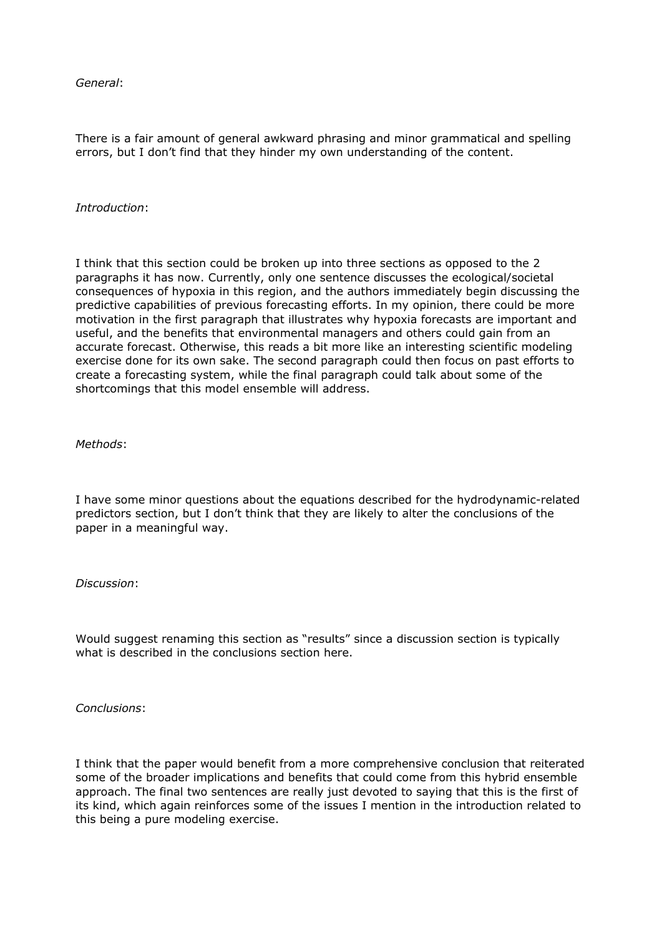*General*:

There is a fair amount of general awkward phrasing and minor grammatical and spelling errors, but I don't find that they hinder my own understanding of the content.

### *Introduction*:

I think that this section could be broken up into three sections as opposed to the 2 paragraphs it has now. Currently, only one sentence discusses the ecological/societal consequences of hypoxia in this region, and the authors immediately begin discussing the predictive capabilities of previous forecasting efforts. In my opinion, there could be more motivation in the first paragraph that illustrates why hypoxia forecasts are important and useful, and the benefits that environmental managers and others could gain from an accurate forecast. Otherwise, this reads a bit more like an interesting scientific modeling exercise done for its own sake. The second paragraph could then focus on past efforts to create a forecasting system, while the final paragraph could talk about some of the shortcomings that this model ensemble will address.

#### *Methods*:

I have some minor questions about the equations described for the hydrodynamic-related predictors section, but I don't think that they are likely to alter the conclusions of the paper in a meaningful way.

#### *Discussion*:

Would suggest renaming this section as "results" since a discussion section is typically what is described in the conclusions section here.

*Conclusions*:

I think that the paper would benefit from a more comprehensive conclusion that reiterated some of the broader implications and benefits that could come from this hybrid ensemble approach. The final two sentences are really just devoted to saying that this is the first of its kind, which again reinforces some of the issues I mention in the introduction related to this being a pure modeling exercise.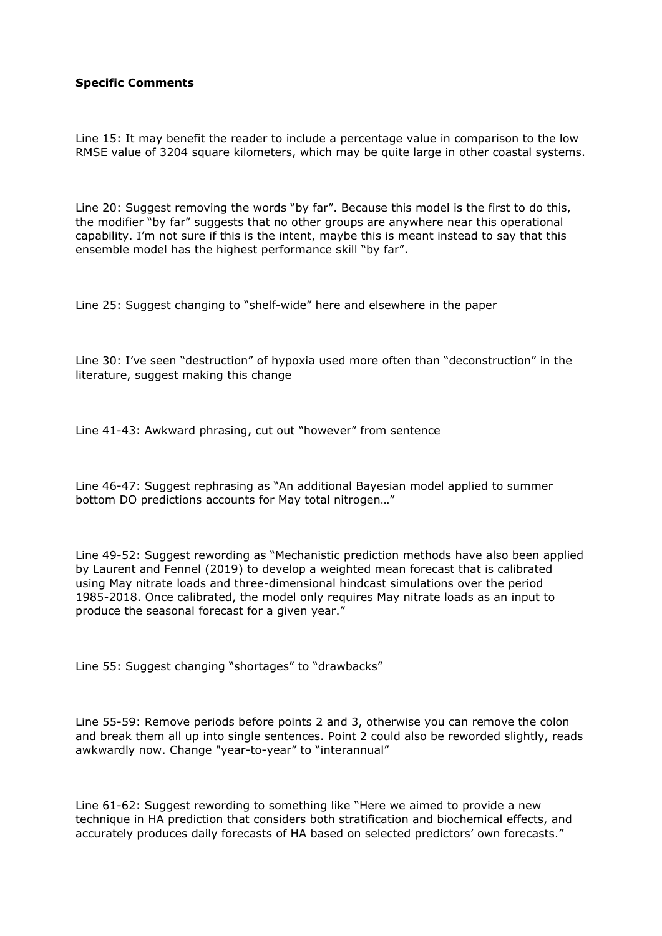# **Specific Comments**

Line 15: It may benefit the reader to include a percentage value in comparison to the low RMSE value of 3204 square kilometers, which may be quite large in other coastal systems.

Line 20: Suggest removing the words "by far". Because this model is the first to do this, the modifier "by far" suggests that no other groups are anywhere near this operational capability. I'm not sure if this is the intent, maybe this is meant instead to say that this ensemble model has the highest performance skill "by far".

Line 25: Suggest changing to "shelf-wide" here and elsewhere in the paper

Line 30: I've seen "destruction" of hypoxia used more often than "deconstruction" in the literature, suggest making this change

Line 41-43: Awkward phrasing, cut out "however" from sentence

Line 46-47: Suggest rephrasing as "An additional Bayesian model applied to summer bottom DO predictions accounts for May total nitrogen…"

Line 49-52: Suggest rewording as "Mechanistic prediction methods have also been applied by Laurent and Fennel (2019) to develop a weighted mean forecast that is calibrated using May nitrate loads and three-dimensional hindcast simulations over the period 1985-2018. Once calibrated, the model only requires May nitrate loads as an input to produce the seasonal forecast for a given year."

Line 55: Suggest changing "shortages" to "drawbacks"

Line 55-59: Remove periods before points 2 and 3, otherwise you can remove the colon and break them all up into single sentences. Point 2 could also be reworded slightly, reads awkwardly now. Change "year-to-year" to "interannual"

Line 61-62: Suggest rewording to something like "Here we aimed to provide a new technique in HA prediction that considers both stratification and biochemical effects, and accurately produces daily forecasts of HA based on selected predictors' own forecasts."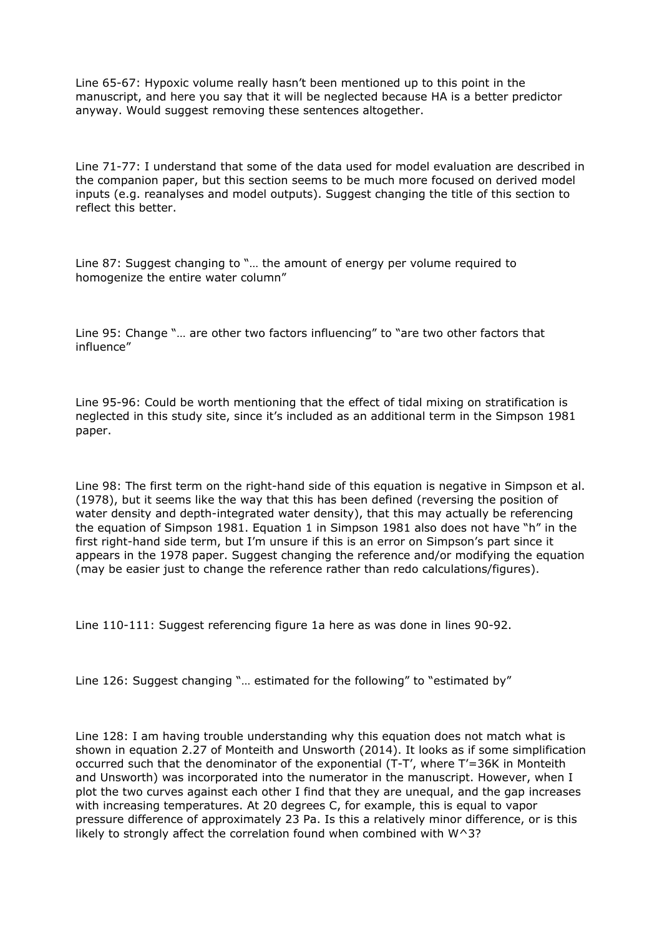Line 65-67: Hypoxic volume really hasn't been mentioned up to this point in the manuscript, and here you say that it will be neglected because HA is a better predictor anyway. Would suggest removing these sentences altogether.

Line 71-77: I understand that some of the data used for model evaluation are described in the companion paper, but this section seems to be much more focused on derived model inputs (e.g. reanalyses and model outputs). Suggest changing the title of this section to reflect this better.

Line 87: Suggest changing to "… the amount of energy per volume required to homogenize the entire water column"

Line 95: Change "… are other two factors influencing" to "are two other factors that influence"

Line 95-96: Could be worth mentioning that the effect of tidal mixing on stratification is neglected in this study site, since it's included as an additional term in the Simpson 1981 paper.

Line 98: The first term on the right-hand side of this equation is negative in Simpson et al. (1978), but it seems like the way that this has been defined (reversing the position of water density and depth-integrated water density), that this may actually be referencing the equation of Simpson 1981. Equation 1 in Simpson 1981 also does not have "h" in the first right-hand side term, but I'm unsure if this is an error on Simpson's part since it appears in the 1978 paper. Suggest changing the reference and/or modifying the equation (may be easier just to change the reference rather than redo calculations/figures).

Line 110-111: Suggest referencing figure 1a here as was done in lines 90-92.

Line 126: Suggest changing "… estimated for the following" to "estimated by"

Line 128: I am having trouble understanding why this equation does not match what is shown in equation 2.27 of Monteith and Unsworth (2014). It looks as if some simplification occurred such that the denominator of the exponential (T-T', where T'=36K in Monteith and Unsworth) was incorporated into the numerator in the manuscript. However, when I plot the two curves against each other I find that they are unequal, and the gap increases with increasing temperatures. At 20 degrees C, for example, this is equal to vapor pressure difference of approximately 23 Pa. Is this a relatively minor difference, or is this likely to strongly affect the correlation found when combined with  $W^3$ ?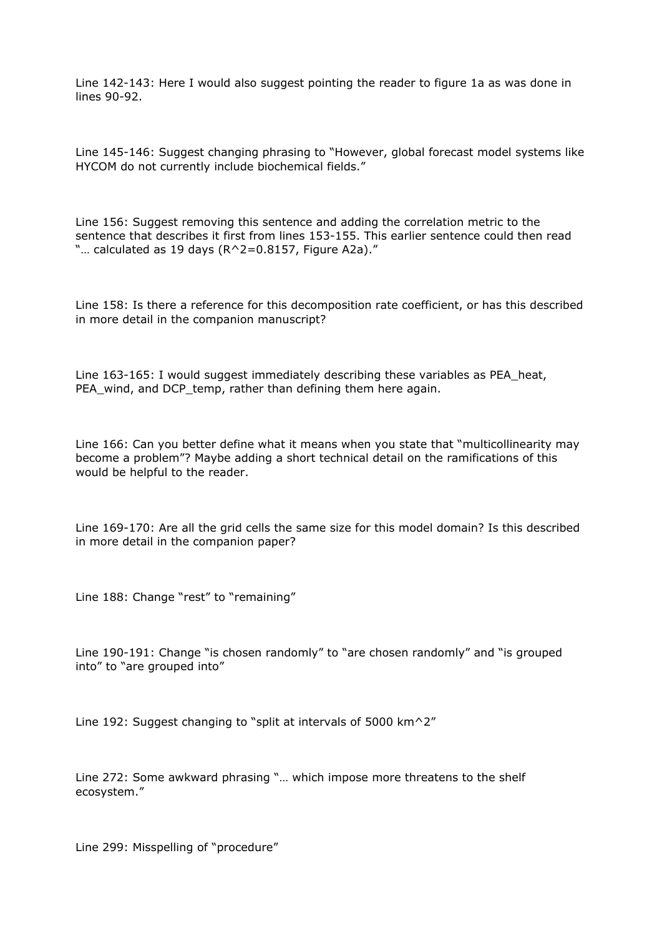Line 142-143: Here I would also suggest pointing the reader to figure 1a as was done in lines 90-92.

Line 145-146: Suggest changing phrasing to "However, global forecast model systems like HYCOM do not currently include biochemical fields."

Line 156: Suggest removing this sentence and adding the correlation metric to the sentence that describes it first from lines 153-155. This earlier sentence could then read "... calculated as 19 days ( $R^2=0.8157$ , Figure A2a)."

Line 158: Is there a reference for this decomposition rate coefficient, or has this described in more detail in the companion manuscript?

Line 163-165: I would suggest immediately describing these variables as PEA\_heat, PEA\_wind, and DCP\_temp, rather than defining them here again.

Line 166: Can you better define what it means when you state that "multicollinearity may become a problem"? Maybe adding a short technical detail on the ramifications of this would be helpful to the reader.

Line 169-170: Are all the grid cells the same size for this model domain? Is this described in more detail in the companion paper?

Line 188: Change "rest" to "remaining"

Line 190-191: Change "is chosen randomly" to "are chosen randomly" and "is grouped into" to "are grouped into"

Line 192: Suggest changing to "split at intervals of 5000 km<sup> $\sim$ 2"</sup>

Line 272: Some awkward phrasing "… which impose more threatens to the shelf ecosystem."

Line 299: Misspelling of "procedure"